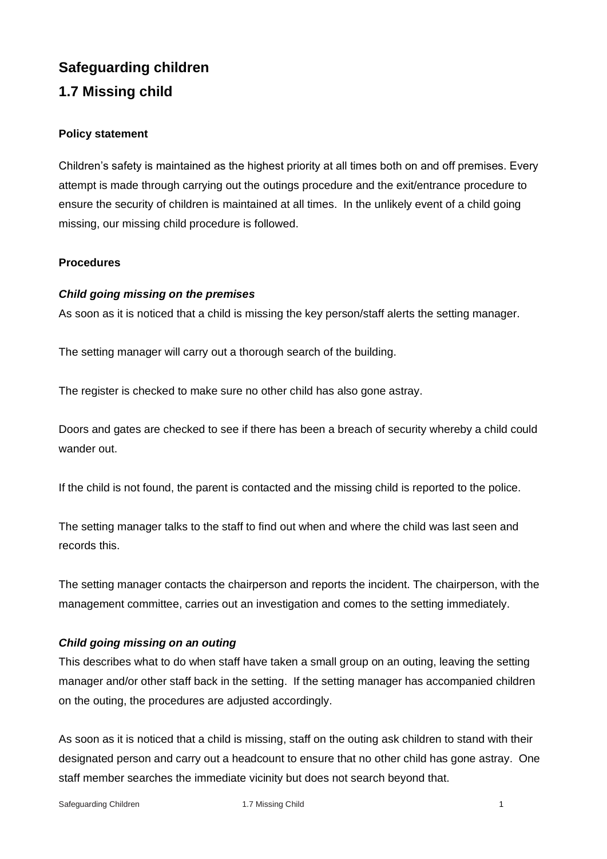# **Safeguarding children 1.7 Missing child**

# **Policy statement**

Children's safety is maintained as the highest priority at all times both on and off premises. Every attempt is made through carrying out the outings procedure and the exit/entrance procedure to ensure the security of children is maintained at all times. In the unlikely event of a child going missing, our missing child procedure is followed.

# **Procedures**

# *Child going missing on the premises*

As soon as it is noticed that a child is missing the key person/staff alerts the setting manager.

The setting manager will carry out a thorough search of the building.

The register is checked to make sure no other child has also gone astray.

Doors and gates are checked to see if there has been a breach of security whereby a child could wander out.

If the child is not found, the parent is contacted and the missing child is reported to the police.

The setting manager talks to the staff to find out when and where the child was last seen and records this.

The setting manager contacts the chairperson and reports the incident. The chairperson, with the management committee, carries out an investigation and comes to the setting immediately.

#### *Child going missing on an outing*

This describes what to do when staff have taken a small group on an outing, leaving the setting manager and/or other staff back in the setting. If the setting manager has accompanied children on the outing, the procedures are adjusted accordingly.

As soon as it is noticed that a child is missing, staff on the outing ask children to stand with their designated person and carry out a headcount to ensure that no other child has gone astray. One staff member searches the immediate vicinity but does not search beyond that.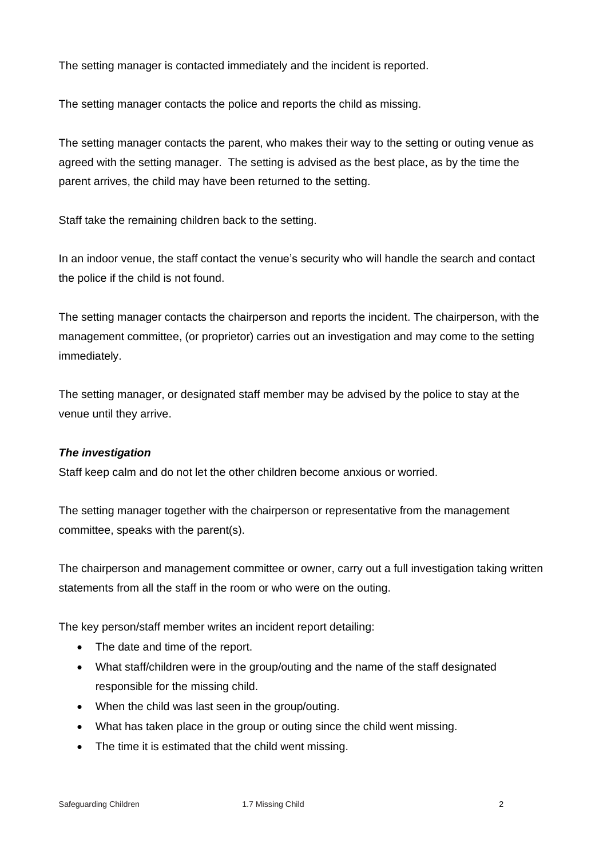The setting manager is contacted immediately and the incident is reported.

The setting manager contacts the police and reports the child as missing.

The setting manager contacts the parent, who makes their way to the setting or outing venue as agreed with the setting manager. The setting is advised as the best place, as by the time the parent arrives, the child may have been returned to the setting.

Staff take the remaining children back to the setting.

In an indoor venue, the staff contact the venue's security who will handle the search and contact the police if the child is not found.

The setting manager contacts the chairperson and reports the incident. The chairperson, with the management committee, (or proprietor) carries out an investigation and may come to the setting immediately.

The setting manager, or designated staff member may be advised by the police to stay at the venue until they arrive.

#### *The investigation*

Staff keep calm and do not let the other children become anxious or worried.

The setting manager together with the chairperson or representative from the management committee, speaks with the parent(s).

The chairperson and management committee or owner, carry out a full investigation taking written statements from all the staff in the room or who were on the outing.

The key person/staff member writes an incident report detailing:

- The date and time of the report.
- What staff/children were in the group/outing and the name of the staff designated responsible for the missing child.
- When the child was last seen in the group/outing.
- What has taken place in the group or outing since the child went missing.
- The time it is estimated that the child went missing.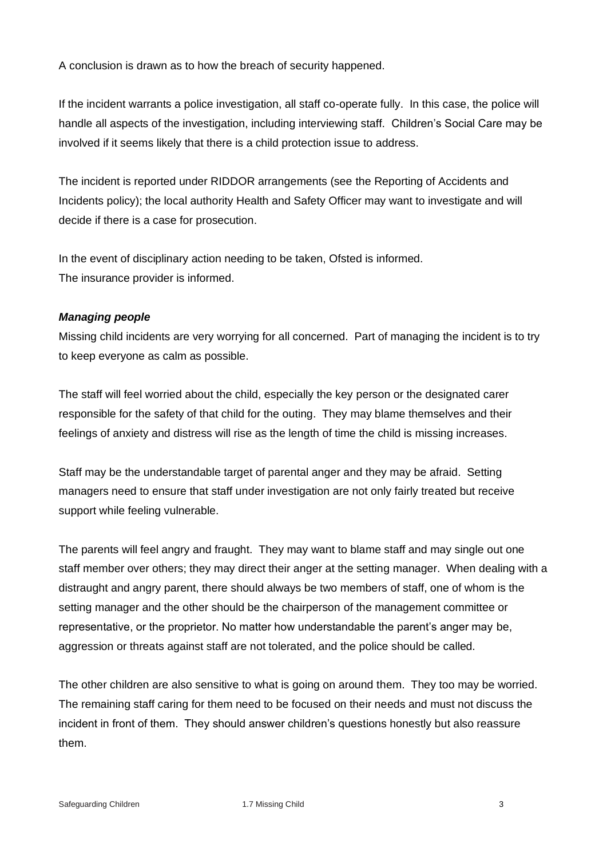A conclusion is drawn as to how the breach of security happened.

If the incident warrants a police investigation, all staff co-operate fully. In this case, the police will handle all aspects of the investigation, including interviewing staff. Children's Social Care may be involved if it seems likely that there is a child protection issue to address.

The incident is reported under RIDDOR arrangements (see the Reporting of Accidents and Incidents policy); the local authority Health and Safety Officer may want to investigate and will decide if there is a case for prosecution.

In the event of disciplinary action needing to be taken, Ofsted is informed. The insurance provider is informed.

#### *Managing people*

Missing child incidents are very worrying for all concerned. Part of managing the incident is to try to keep everyone as calm as possible.

The staff will feel worried about the child, especially the key person or the designated carer responsible for the safety of that child for the outing. They may blame themselves and their feelings of anxiety and distress will rise as the length of time the child is missing increases.

Staff may be the understandable target of parental anger and they may be afraid. Setting managers need to ensure that staff under investigation are not only fairly treated but receive support while feeling vulnerable.

The parents will feel angry and fraught. They may want to blame staff and may single out one staff member over others; they may direct their anger at the setting manager. When dealing with a distraught and angry parent, there should always be two members of staff, one of whom is the setting manager and the other should be the chairperson of the management committee or representative, or the proprietor. No matter how understandable the parent's anger may be, aggression or threats against staff are not tolerated, and the police should be called.

The other children are also sensitive to what is going on around them. They too may be worried. The remaining staff caring for them need to be focused on their needs and must not discuss the incident in front of them. They should answer children's questions honestly but also reassure them.